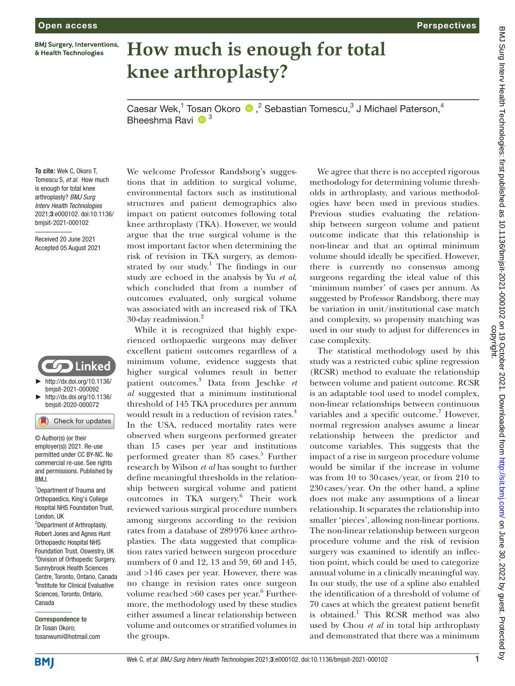**BMJ Surgery, Interventions,** & Health Technologies

## **How much is enough for total knee arthroplasty?**

CaesarWek,<sup>1</sup> Tosan Okoro  $\bullet$ ,<sup>2</sup> Sebastian Tomescu,<sup>3</sup> J Michael Paterson,<sup>4</sup> Bheeshma Ravi  $\mathbb{R}^3$ 

**To cite:** Wek C, Okoro T, Tomescu S, *et al*. How much is enough for total knee arthroplasty? *BMJ Surg Interv Health Technologies* 2021;3:e000102. doi:10.1136/ bmjsit-2021-000102

Received 20 June 2021 Accepted 05 August 2021



► [http://dx.doi.org/10.1136/](http://dx.doi.org/10.1136/bmjsit-2021-000092) [bmjsit-2021-000092](http://dx.doi.org/10.1136/bmjsit-2021-000092) ► [http://dx.doi.org/10.1136/](http://dx.doi.org/10.1136/bmjsit-2020-000072) [bmjsit-2020-000072](http://dx.doi.org/10.1136/bmjsit-2020-000072)

Check for updates

© Author(s) (or their employer(s)) 2021. Re-use permitted under CC BY-NC. No commercial re-use. See rights and permissions. Published by BMJ.

<sup>1</sup>Department of Trauma and Orthopaedics, King's College Hospital NHS Foundation Trust, London, UK <sup>2</sup>Department of Arthroplasty, Robert Jones and Agnes Hunt Orthopaedic Hospital NHS Foundation Trust, Oswestry, UK 3 Division of Orthopedic Surgery, Sunnybrook Health Sciences Centre, Toronto, Ontario, Canada 4 Institute for Clinical Evaluative Sciences, Toronto, Ontario, Canada

Correspondence to Dr Tosan Okoro; tosanwumi@hotmail.com We welcome Professor Randsborg's suggestions that in addition to surgical volume, environmental factors such as institutional structures and patient demographics also impact on patient outcomes following total knee arthroplasty (TKA). However, we would argue that the true surgical volume is the most important factor when determining the risk of revision in TKA surgery, as demon-strated by our study.<sup>[1](#page-1-0)</sup> The findings in our study are echoed in the analysis by Yu *et al*, which concluded that from a number of outcomes evaluated, only surgical volume was associated with an increased risk of TKA 30-day readmission.<sup>[2](#page-1-1)</sup>

While it is recognized that highly experienced orthopaedic surgeons may deliver excellent patient outcomes regardless of a minimum volume, evidence suggests that higher surgical volumes result in better patient outcomes.[3](#page-1-2) Data from Jeschke *et al* suggested that a minimum institutional threshold of 145 TKA procedures per annum would result in a reduction of revision rates.<sup>[4](#page-1-3)</sup> In the USA, reduced mortality rates were observed when surgeons performed greater than 15 cases per year and institutions performed greater than 8[5](#page-1-4) cases.<sup>5</sup> Further research by Wilson *et al* has sought to further define meaningful thresholds in the relationship between surgical volume and patient outcomes in TKA surgery.<sup>[6](#page-1-5)</sup> Their work reviewed various surgical procedure numbers among surgeons according to the revision rates from a database of 289976 knee arthroplasties. The data suggested that complication rates varied between surgeon procedure numbers of 0 and 12, 13 and 59, 60 and 145, and >146 cases per year. However, there was no change in revision rates once surgeon volume reached >60 cases per year.<sup>6</sup> Furthermore, the methodology used by these studies either assumed a linear relationship between volume and outcomes or stratified volumes in the groups.

We agree that there is no accepted rigorous methodology for determining volume thresholds in arthroplasty, and various methodologies have been used in previous studies. Previous studies evaluating the relationship between surgeon volume and patient outcome indicate that this relationship is non-linear and that an optimal minimum volume should ideally be specified. However, there is currently no consensus among surgeons regarding the ideal value of this 'minimum number' of cases per annum. As suggested by Professor Randsborg, there may be variation in unit/institutional case match and complexity, so propensity matching was used in our study to adjust for differences in case complexity.

The statistical methodology used by this study was a restricted cubic spline regression (RCSR) method to evaluate the relationship between volume and patient outcome. RCSR is an adaptable tool used to model complex, non-linear relationships between continuous variables and a specific outcome.<sup>[7](#page-1-6)</sup> However, normal regression analyses assume a linear relationship between the predictor and outcome variables. This suggests that the impact of a rise in surgeon procedure volume would be similar if the increase in volume was from 10 to 30cases/year, or from 210 to 230cases/year. On the other hand, a spline does not make any assumptions of a linear relationship. It separates the relationship into smaller 'pieces', allowing non-linear portions. The non-linear relationship between surgeon procedure volume and the risk of revision surgery was examined to identify an inflection point, which could be used to categorize annual volume in a clinically meaningful way. In our study, the use of a spline also enabled the identification of a threshold of volume of 70 cases at which the greatest patient benefit is obtained.<sup>[1](#page-1-0)</sup> This RCSR method was also used by Chou *et al* in total hip arthroplasty and demonstrated that there was a minimum